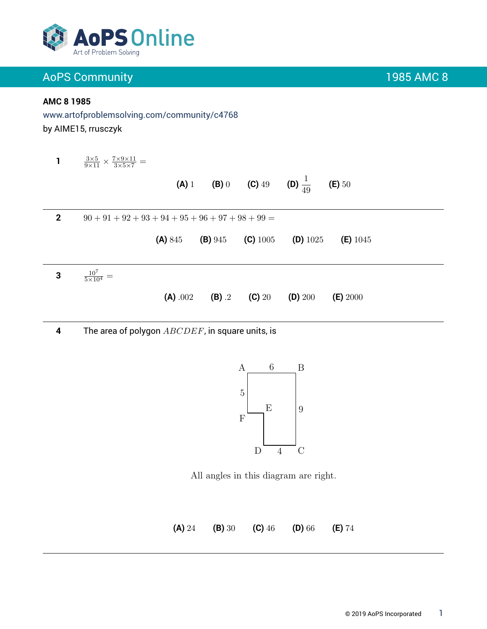

### **AMC 8 1985**

www.artofproblemsolving.com/community/c4768 by AIME15, rrusczyk

**1**  $\frac{3\times5}{9\times11}\times\frac{7\times9\times11}{3\times5\times7}=$ **(A)** 1 **(B)** 0 **(C)** 49 **(D)**  $\frac{1}{49}$ **(E)** 50 **2**  $90 + 91 + 92 + 93 + 94 + 95 + 96 + 97 + 98 + 99 =$ **(A)** 845 **(B)** 945 **(C)** 1005 **(D)** 1025 **(E)** 1045 **3**  $\frac{10^7}{5 \times 10^4}$  = **(A)** .002 **(B)** .2 **(C)** 20 **(D)** 200 **(E)** 2000

**4** The area of polygon *ABCDEF*, in square units, is



All angles in this diagram are right.

**(A)** 24 **(B)** 30 **(C)** 46 **(D)** 66 **(E)** 74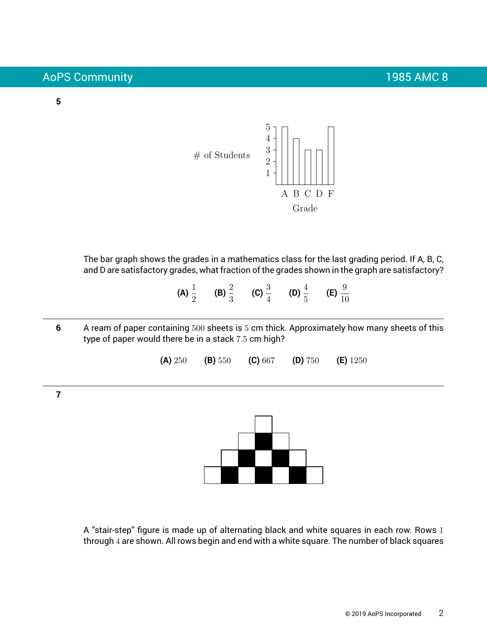### **5**



The bar graph shows the grades in a mathematics class for the last grading period. If A, B, C, and D are satisfactory grades, what fraction of the grades shown in the graph are satisfactory?

- **(A)**  $\frac{1}{2}$  **(B)**  $\frac{2}{3}$  **(C)**  $\frac{3}{4}$  **(D)**  $\frac{4}{5}$  **(E)**  $\frac{9}{10}$
- **6** A ream of paper containing 500 sheets is 5 cm thick. Approximately how many sheets of this type of paper would there be in a stack 7.5 cm high?

**(A)** 250 **(B)** 550 **(C)** 667 **(D)** 750 **(E)** 1250

**7**



A "stair-step" figure is made up of alternating black and white squares in each row. Rows 1 through 4 are shown. All rows begin and end with a white square. The number of black squares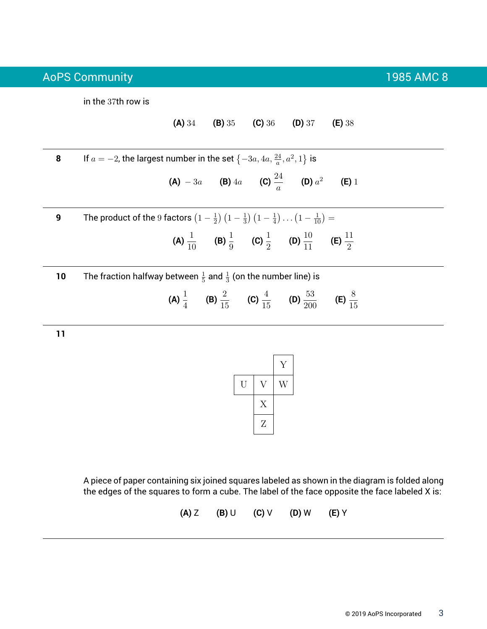in the 37th row is

**(A)** 34 **(B)** 35 **(C)** 36 **(D)** 37 **(E)** 38

**8** If  $a = -2$ , the largest number in the set  $\{-3a, 4a, \frac{24}{a}, a^2, 1\}$  is **(A)**  $-3a$  **(B)**  $4a$  **(C)**  $\frac{24}{a}$  **(D)**  $a^2$ **(E)** 1 **9** The product of the 9 factors  $\left(1-\frac{1}{2}\right)$  $\frac{1}{2}$ )  $\left(1-\frac{1}{3}\right)$  $\frac{1}{3}$   $\left(1-\frac{1}{4}\right)$  $(\frac{1}{4}) \ldots (1 - \frac{1}{10}) =$ 

(A) 
$$
\frac{1}{10}
$$
 (B)  $\frac{1}{9}$  (C)  $\frac{1}{2}$  (D)  $\frac{10}{11}$  (E)  $\frac{11}{2}$ 

**10** The fraction halfway between  $\frac{1}{5}$  and  $\frac{1}{3}$  (on the number line) is

(A) 
$$
\frac{1}{4}
$$
 (B)  $\frac{2}{15}$  (C)  $\frac{4}{15}$  (D)  $\frac{53}{200}$  (E)  $\frac{8}{15}$ 

**11**



A piece of paper containing six joined squares labeled as shown in the diagram is folded along the edges of the squares to form a cube. The label of the face opposite the face labeled X is:

**(A)** Z **(B)** U **(C)** V **(D)** W **(E)** Y

© 2019 AoPS Incorporated 3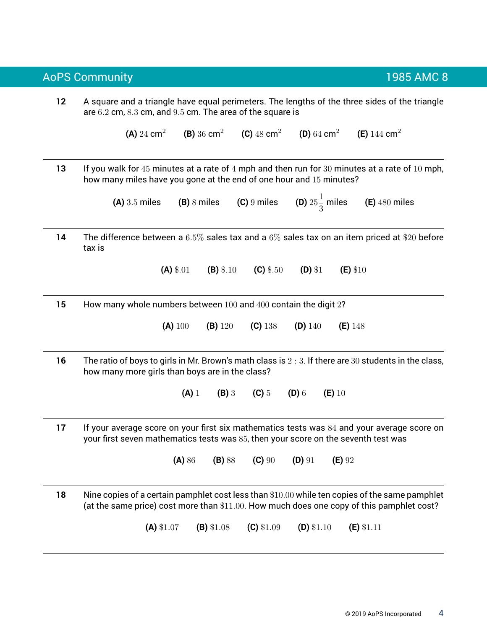**12** A square and a triangle have equal perimeters. The lengths of the three sides of the triangle are 6.2 cm, 8.3 cm, and 9.5 cm. The area of the square is **(A)** 24  $cm<sup>2</sup>$ **(B)** 36 cm<sup>2</sup> **(C)**  $48 \text{ cm}^2$ **(D)** 64 cm<sup>2</sup> **(E)** 144 cm<sup>2</sup> **13** If you walk for 45 minutes at a rate of 4 mph and then run for 30 minutes at a rate of 10 mph, how many miles have you gone at the end of one hour and 15 minutes? **(A)** 3.5 miles **(B)** 8 miles **(C)** 9 miles 1 3 miles **(E)** 480 miles **14** The difference between a 6.5% sales tax and a 6% sales tax on an item priced at \$20 before tax is **(A)** \$.01 **(B)** \$.10 **(C)** \$.50 **(D)** \$1 **(E)** \$10 **15** How many whole numbers between 100 and 400 contain the digit 2? **(A)** 100 **(B)** 120 **(C)** 138 **(D)** 140 **(E)** 148 **16** The ratio of boys to girls in Mr. Brown's math class is 2 : 3. If there are 30 students in the class, how many more girls than boys are in the class? **(A)** 1 **(B)** 3 **(C)** 5 **(D)** 6 **(E)** 10 **17** If your average score on your first six mathematics tests was 84 and your average score on your first seven mathematics tests was 85, then your score on the seventh test was **(A)** 86 **(B)** 88 **(C)** 90 **(D)** 91 **(E)** 92 **18** Nine copies of a certain pamphlet cost less than \$10.00 while ten copies of the same pamphlet (at the same price) cost more than \$11.00. How much does one copy of this pamphlet cost? **(A)** \$1.07 **(B)** \$1.08 **(C)** \$1.09 **(D)** \$1.10 **(E)** \$1.11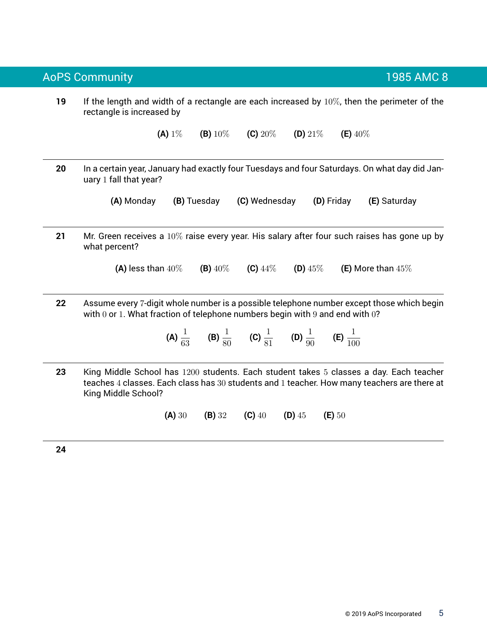**19** If the length and width of a rectangle are each increased by 10%, then the perimeter of the rectangle is increased by

**(A)** 1% **(B)** 10% **(C)** 20% **(D)** 21% **(E)** 40%

**20** In a certain year, January had exactly four Tuesdays and four Saturdays. On what day did January 1 fall that year?

**(A)** Monday **(B)** Tuesday **(C)** Wednesday **(D)** Friday **(E)** Saturday

**21** Mr. Green receives a 10% raise every year. His salary after four such raises has gone up by what percent?

**(A)** less than 40% **(B)** 40% **(C)** 44% **(D)** 45% **(E)** More than 45%

**22** Assume every 7-digit whole number is a possible telephone number except those which begin with  $0$  or 1. What fraction of telephone numbers begin with  $9$  and end with  $0$ ?

**(A)**  $\frac{1}{63}$  **(B)**  $\frac{1}{80}$  **(C)**  $\frac{1}{81}$  **(D)**  $\frac{1}{90}$  **(E)**  $\frac{1}{100}$ 

**23** King Middle School has 1200 students. Each student takes 5 classes a day. Each teacher teaches 4 classes. Each class has 30 students and 1 teacher. How many teachers are there at King Middle School?

**(A)** 30 **(B)** 32 **(C)** 40 **(D)** 45 **(E)** 50

**24**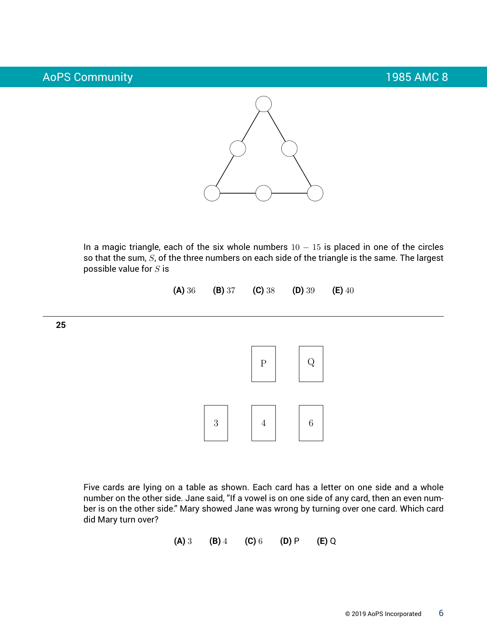

In a magic triangle, each of the six whole numbers  $10 - 15$  is placed in one of the circles so that the sum,  $S$ , of the three numbers on each side of the triangle is the same. The largest possible value for  $S$  is

**(A)** 36 **(B)** 37 **(C)** 38 **(D)** 39 **(E)** 40

**25**



Five cards are lying on a table as shown. Each card has a letter on one side and a whole number on the other side. Jane said, "If a vowel is on one side of any card, then an even number is on the other side." Mary showed Jane was wrong by turning over one card. Which card did Mary turn over?

**(A)** 3 **(B)** 4 **(C)** 6 **(D)** P **(E)** Q